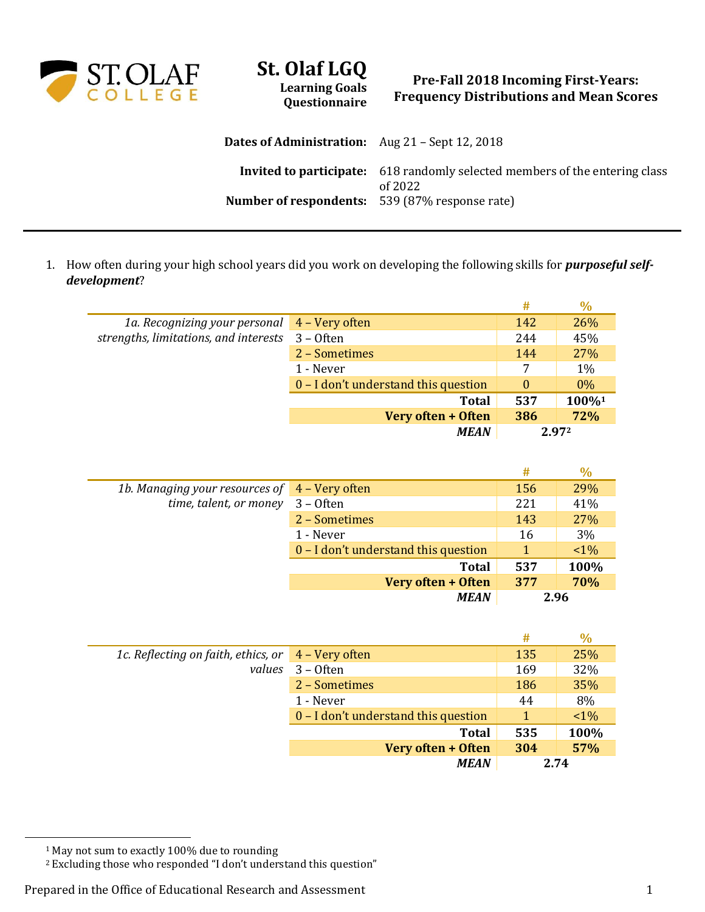

## **St. Olaf LGQ Learning Goals**

**Questionnaire**

## **Pre-Fall 2018 Incoming First-Years: Frequency Distributions and Mean Scores**

| <b>Dates of Administration:</b> Aug 21 – Sept 12, 2018 |                                                                                               |
|--------------------------------------------------------|-----------------------------------------------------------------------------------------------|
|                                                        | <b>Invited to participate:</b> 618 randomly selected members of the entering class<br>of 2022 |
| <b>Number of respondents:</b> 539 (87% response rate)  |                                                                                               |

1. How often during your high school years did you work on developing the following skills for *purposeful selfdevelopment*?

|                                                      | #        | $\%$  |
|------------------------------------------------------|----------|-------|
| 4 – Very often<br>1a. Recognizing your personal      | 142      | 26%   |
| strengths, limitations, and interests<br>$3 -$ Often | 244      | 45%   |
| 2 - Sometimes                                        | 144      | 27%   |
| 1 - Never                                            | 7        | 1%    |
| 0 – I don't understand this question                 | $\theta$ | $0\%$ |
| <b>Total</b>                                         | 537      | 100%1 |
| Very often + Often                                   | 386      | 72%   |
| <b>MEAN</b>                                          |          | 2.972 |
|                                                      |          |       |

|                                               |                                      | #   | $\frac{0}{0}$ |
|-----------------------------------------------|--------------------------------------|-----|---------------|
| 1b. Managing your resources of 4 – Very often |                                      | 156 | 29%           |
| time, talent, or money                        | $3 -$ Often                          | 221 | 41%           |
|                                               | 2 - Sometimes                        | 143 | 27%           |
|                                               | 1 - Never                            | 16  | 3%            |
|                                               | 0 – I don't understand this question |     | $1\%$         |
|                                               | <b>Total</b>                         | 537 | 100%          |
|                                               | Very often + Often                   | 377 | 70%           |
|                                               | <b>MEAN</b>                          |     | 2.96          |

|                                                                       |                                      | #   | $\%$  |
|-----------------------------------------------------------------------|--------------------------------------|-----|-------|
| 1c. Reflecting on faith, ethics, or $\frac{4 - \text{Very often}}{2}$ |                                      | 135 | 25%   |
| values                                                                | $3 -$ Often                          | 169 | 32%   |
|                                                                       | 2 - Sometimes                        | 186 | 35%   |
|                                                                       | 1 - Never                            | 44  | 8%    |
|                                                                       | 0 – I don't understand this question | 1   | $1\%$ |
|                                                                       | <b>Total</b>                         | 535 | 100%  |
|                                                                       | Very often + Often                   | 304 | 57%   |
|                                                                       | <b>MEAN</b>                          |     | 2.74  |

<sup>1</sup> May not sum to exactly 100% due to rounding

 $\overline{a}$ 

<sup>2</sup> Excluding those who responded "I don't understand this question"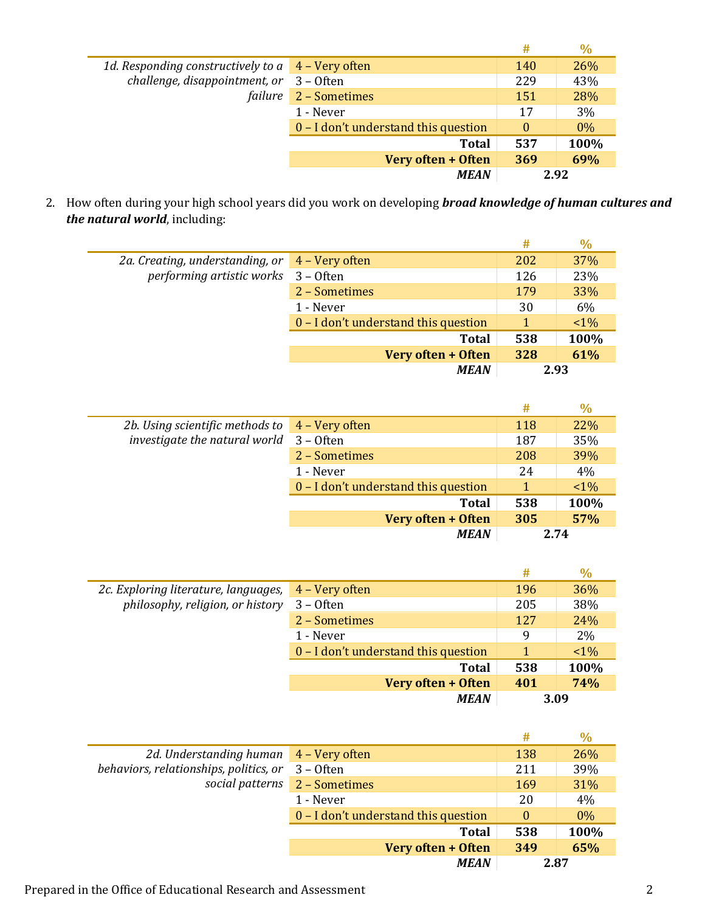|                                                            |                                      | #        | $\%$  |
|------------------------------------------------------------|--------------------------------------|----------|-------|
| 1d. Responding constructively to $a \times 4$ – Very often |                                      | 140      | 26%   |
| challenge, disappointment, or                              | $3 -$ Often                          | 229      | 43%   |
| failure                                                    | 2 - Sometimes                        | 151      | 28%   |
|                                                            | 1 - Never                            | 17       | 3%    |
|                                                            | 0 – I don't understand this question | $\Omega$ | $0\%$ |
|                                                            | <b>Total</b>                         | 537      | 100%  |
|                                                            | Very often + Often                   | 369      | 69%   |
|                                                            | <b>MEAN</b>                          | 2.92     |       |

2. How often during your high school years did you work on developing *broad knowledge of human cultures and the natural world*, including:

|                                     |                                      | #   | $\%$  |
|-------------------------------------|--------------------------------------|-----|-------|
| 2a. Creating, understanding, or     | 4 – Very often                       | 202 | 37%   |
| performing artistic works 3 - Often |                                      | 126 | 23%   |
|                                     | 2 - Sometimes                        | 179 | 33%   |
|                                     | 1 - Never                            | 30  | 6%    |
|                                     | 0 – I don't understand this question |     | $1\%$ |
|                                     | <b>Total</b>                         | 538 | 100%  |
|                                     | Very often + Often                   | 328 | 61%   |
|                                     | <b>MEAN</b>                          |     | 2.93  |

|                                                                   |                                      | #   | $\frac{0}{0}$ |
|-------------------------------------------------------------------|--------------------------------------|-----|---------------|
| 2b. Using scientific methods to $\frac{4 - \text{Very often}}{2}$ |                                      | 118 | 22%           |
| investigate the natural world                                     | $3 -$ Often                          | 187 | 35%           |
|                                                                   | 2 - Sometimes                        | 208 | 39%           |
|                                                                   | 1 - Never                            | 24  | 4%            |
|                                                                   | 0 – I don't understand this question |     | $1\%$         |
|                                                                   | <b>Total</b>                         | 538 | 100%          |
|                                                                   | Very often + Often                   | 305 | 57%           |
|                                                                   | <b>MEAN</b>                          |     | 2.74          |

|                                                                          |                                      | #    | $\%$  |
|--------------------------------------------------------------------------|--------------------------------------|------|-------|
| 2c. Exploring literature, languages,<br>philosophy, religion, or history | 4 – Very often                       | 196  | 36%   |
|                                                                          | $3 -$ Often                          | 205  | 38%   |
|                                                                          | 2 - Sometimes                        | 127  | 24%   |
|                                                                          | 1 - Never                            | 9    | 2%    |
|                                                                          | 0 - I don't understand this question |      | $1\%$ |
|                                                                          | <b>Total</b>                         | 538  | 100%  |
|                                                                          | Very often + Often                   | 401  | 74%   |
|                                                                          | <b>MEAN</b>                          | 3.09 |       |

|                                        |                                      | #        | $\%$  |
|----------------------------------------|--------------------------------------|----------|-------|
| 2d. Understanding human 4 - Very often |                                      | 138      | 26%   |
| behaviors, relationships, politics, or | $3 -$ Often                          | 211      | 39%   |
|                                        | social patterns 2 - Sometimes        | 169      | 31%   |
|                                        | 1 - Never                            | 20       | 4%    |
|                                        | 0 – I don't understand this question | $\bf{0}$ | $0\%$ |
|                                        | <b>Total</b>                         | 538      | 100%  |
|                                        | Very often + Often                   | 349      | 65%   |
|                                        | <b>MEAN</b>                          | 2.87     |       |

L.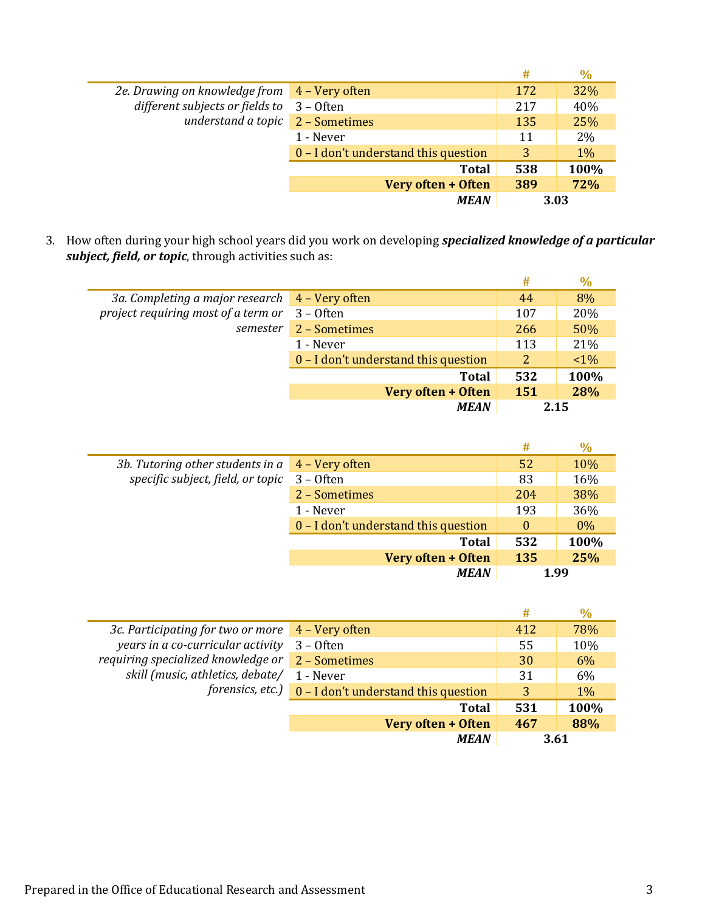|                                              |                                      | #   | $\%$  |
|----------------------------------------------|--------------------------------------|-----|-------|
| 2e. Drawing on knowledge from 4 - Very often |                                      | 172 | 32%   |
| different subjects or fields to 3 - Often    |                                      | 217 | 40%   |
| understand a topic 2 - Sometimes             |                                      | 135 | 25%   |
|                                              | 1 - Never                            | 11  | 2%    |
|                                              | 0 – I don't understand this question | 3   | $1\%$ |
|                                              | <b>Total</b>                         | 538 | 100%  |
|                                              | Very often + Often                   | 389 | 72%   |
|                                              | <b>MEAN</b>                          |     | 3.03  |

3. How often during your high school years did you work on developing *specialized knowledge of a particular subject, field, or topic*, through activities such as:

|                                                |                                      | #    | $\%$  |
|------------------------------------------------|--------------------------------------|------|-------|
| 3a. Completing a major research 4 - Very often |                                      | 44   | 8%    |
| project requiring most of a term or            | $3 -$ Often                          | 107  | 20%   |
| semester                                       | 2 - Sometimes                        | 266  | 50%   |
|                                                | 1 - Never                            | 113  | 21%   |
|                                                | 0 – I don't understand this question | 2    | $1\%$ |
|                                                | <b>Total</b>                         | 532  | 100%  |
|                                                | Very often + Often                   | 151  | 28%   |
|                                                | <b>MEAN</b>                          | 2.15 |       |

|                                                        |                                      | #        | $\%$  |
|--------------------------------------------------------|--------------------------------------|----------|-------|
| 3b. Tutoring other students in $a \mid 4$ – Very often |                                      | 52       | 10%   |
| specific subject, field, or topic                      | 3 – Often                            | 83       | 16%   |
|                                                        | 2 - Sometimes                        | 204      | 38%   |
|                                                        | 1 - Never                            | 193      | 36%   |
|                                                        | 0 - I don't understand this question | $\theta$ | $0\%$ |
|                                                        | <b>Total</b>                         | 532      | 100%  |
|                                                        | Very often + Often                   | 135      | 25%   |
|                                                        | <b>MEAN</b>                          | 1.99     |       |

|                                    |                                      | #    | $\frac{0}{0}$ |
|------------------------------------|--------------------------------------|------|---------------|
| 3c. Participating for two or more  | $4 - V$ ery often                    | 412  | 78%           |
| years in a co-curricular activity  | $3 -$ Often                          | 55   | 10%           |
| requiring specialized knowledge or | 2 - Sometimes                        | 30   | 6%            |
| skill (music, athletics, debate/   | 1 - Never                            | 31   | 6%            |
| forensics, etc.) $\Box$            | 0 - I don't understand this question | 3    | $1\%$         |
|                                    | <b>Total</b>                         | 531  | 100%          |
|                                    | Very often + Often                   | 467  | 88%           |
|                                    | <b>MEAN</b>                          | 3.61 |               |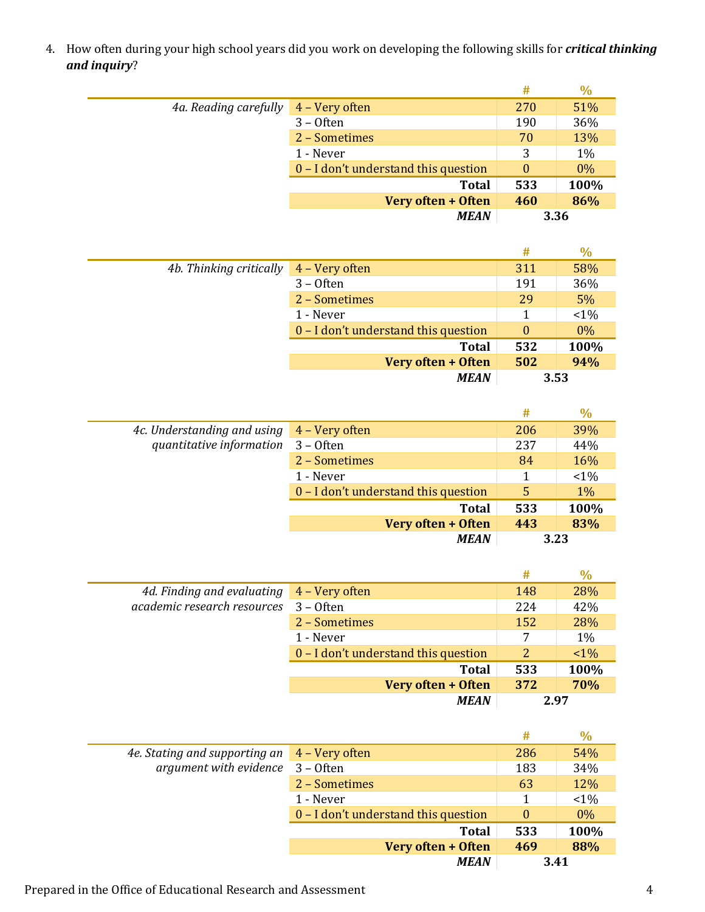4. How often during your high school years did you work on developing the following skills for *critical thinking and inquiry*?

|                       |                                      | #        | $\%$  |
|-----------------------|--------------------------------------|----------|-------|
| 4a. Reading carefully | 4 - Very often                       | 270      | 51%   |
|                       | $3 -$ Often                          | 190      | 36%   |
|                       | 2 - Sometimes                        | 70       | 13%   |
|                       | 1 - Never                            | 3        | $1\%$ |
|                       | 0 - I don't understand this question | $\theta$ | $0\%$ |
| <b>Total</b>          |                                      | 533      | 100%  |
|                       | Very often + Often                   | 460      | 86%   |
|                       | <b>MEAN</b>                          | 3.36     |       |

|                         |                                      | #    | $\%$    |
|-------------------------|--------------------------------------|------|---------|
| 4b. Thinking critically | 4 - Very often                       | 311  | 58%     |
|                         | $3 -$ Often                          | 191  | 36%     |
|                         | 2 - Sometimes                        | 29   | 5%      |
|                         | 1 - Never                            |      | $< 1\%$ |
|                         | 0 – I don't understand this question | 0    | $0\%$   |
|                         | <b>Total</b>                         | 532  | 100%    |
|                         | Very often + Often                   | 502  | 94%     |
|                         | <b>MEAN</b>                          | 3.53 |         |

|                             |                                      | #   | $\%$    |
|-----------------------------|--------------------------------------|-----|---------|
| 4c. Understanding and using | 4 – Very often                       | 206 | 39%     |
| quantitative information    | $3 -$ Often                          | 237 | 44%     |
|                             | 2 - Sometimes                        | 84  | 16%     |
|                             | 1 - Never                            |     | $< 1\%$ |
|                             | 0 – I don't understand this question | 5   | $1\%$   |
|                             | <b>Total</b>                         | 533 | 100%    |
|                             | Very often + Often                   | 443 | 83%     |
|                             | <b>MEAN</b>                          |     | 3.23    |

|                             |                                      | #    | $\%$  |
|-----------------------------|--------------------------------------|------|-------|
| 4d. Finding and evaluating  | 4 – Very often                       | 148  | 28%   |
| academic research resources | $3 -$ Often                          | 224  | 42%   |
|                             | 2 - Sometimes                        | 152  | 28%   |
|                             | 1 - Never                            | 7    | $1\%$ |
|                             | 0 - I don't understand this question | 2    | $1\%$ |
|                             | <b>Total</b>                         | 533  | 100%  |
|                             | Very often + Often                   | 372  | 70%   |
|                             | <b>MEAN</b>                          | 2.97 |       |

|                               |                                      | #        | $\%$    |
|-------------------------------|--------------------------------------|----------|---------|
| 4e. Stating and supporting an | 4 - Very often                       | 286      | 54%     |
| argument with evidence        | $3 -$ Often                          | 183      | 34%     |
|                               | 2 - Sometimes                        | 63       | 12%     |
|                               | 1 - Never                            |          | $< 1\%$ |
|                               | 0 – I don't understand this question | $\theta$ | $0\%$   |
|                               | <b>Total</b>                         | 533      | 100%    |
|                               | Very often + Often                   | 469      | 88%     |
|                               | <b>MEAN</b>                          | 3.41     |         |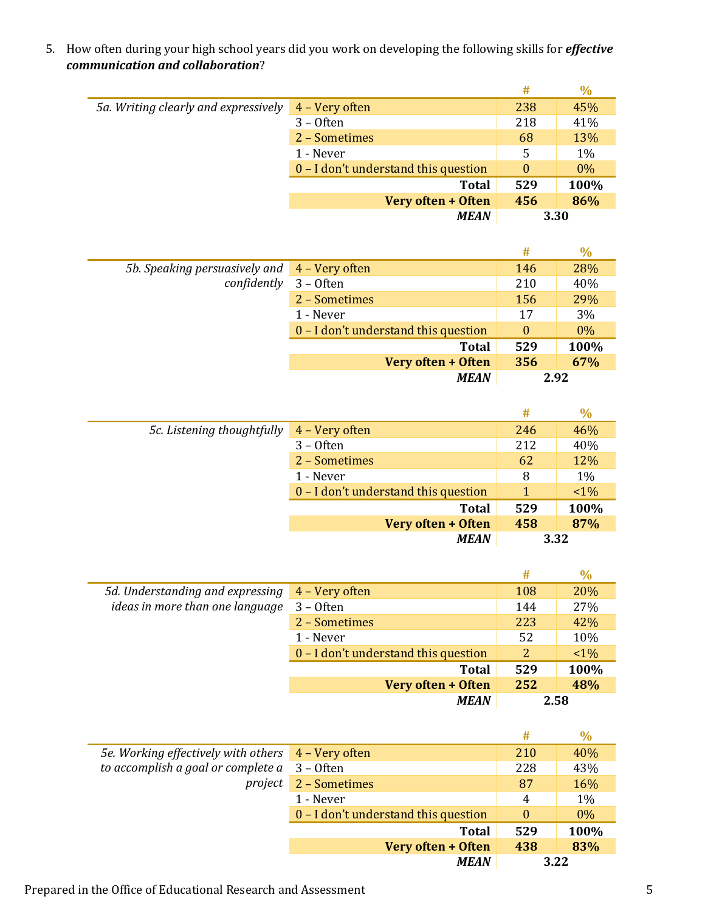5. How often during your high school years did you work on developing the following skills for *effective communication and collaboration*?

|                                      |                                      | #        | $\%$  |
|--------------------------------------|--------------------------------------|----------|-------|
| 5a. Writing clearly and expressively | 4 – Very often                       | 238      | 45%   |
|                                      | $3 -$ Often                          | 218      | 41%   |
|                                      | 2 - Sometimes                        | 68       | 13%   |
|                                      | 1 - Never                            | 5        | $1\%$ |
|                                      | 0 – I don't understand this question | $\Omega$ | $0\%$ |
|                                      | <b>Total</b>                         | 529      | 100%  |
|                                      | Very often + Often                   | 456      | 86%   |
|                                      | <b>MEAN</b>                          | 3.30     |       |

|                               |                                      | #        | $\%$  |
|-------------------------------|--------------------------------------|----------|-------|
| 5b. Speaking persuasively and | 4 – Very often                       | 146      | 28%   |
| confidently                   | $3 -$ Often                          | 210      | 40%   |
|                               | 2 - Sometimes                        | 156      | 29%   |
|                               | 1 - Never                            | 17       | 3%    |
|                               | 0 - I don't understand this question | $\theta$ | $0\%$ |
|                               | <b>Total</b>                         | 529      | 100%  |
|                               | Very often + Often                   | 356      | 67%   |
|                               | <b>MEAN</b>                          |          | 2.92  |

|                            |                                      | #   | $\%$  |
|----------------------------|--------------------------------------|-----|-------|
| 5c. Listening thoughtfully | 4 - Very often                       | 246 | 46%   |
|                            | $3 -$ Often                          | 212 | 40%   |
|                            | 2 - Sometimes                        | 62  | 12%   |
|                            | 1 - Never                            | 8   | 1%    |
|                            | 0 – I don't understand this question | 1   | $1\%$ |
|                            | <b>Total</b>                         | 529 | 100%  |
|                            | Very often + Often                   | 458 | 87%   |
|                            | <b>MEAN</b>                          |     | 3.32  |

|                                  |                                      | #              | $\frac{0}{0}$ |
|----------------------------------|--------------------------------------|----------------|---------------|
| 5d. Understanding and expressing | 4 – Very often                       | 108            | 20%           |
| ideas in more than one language  | $3 -$ Often                          | 144            | 27%           |
|                                  | 2 - Sometimes                        | 223            | 42%           |
|                                  | 1 - Never                            | 52             | 10%           |
|                                  | 0 – I don't understand this question | $\overline{2}$ | $1\%$         |
|                                  | <b>Total</b>                         | 529            | 100%          |
|                                  | Very often + Often                   | 252            | 48%           |
|                                  | <b>MEAN</b>                          | 2.58           |               |

|                                                      |                                      | #        | $\%$  |
|------------------------------------------------------|--------------------------------------|----------|-------|
| 5e. Working effectively with others 4 - Very often   |                                      | 210      | 40%   |
| to accomplish a goal or complete $a \quad 3$ - Often |                                      | 228      | 43%   |
| project                                              | 2 - Sometimes                        | 87       | 16%   |
|                                                      | 1 - Never                            | 4        | 1%    |
|                                                      | 0 - I don't understand this question | $\theta$ | $0\%$ |
|                                                      | <b>Total</b>                         | 529      | 100%  |
|                                                      | Very often + Often                   | 438      | 83%   |
|                                                      | <b>MEAN</b>                          | 3.22     |       |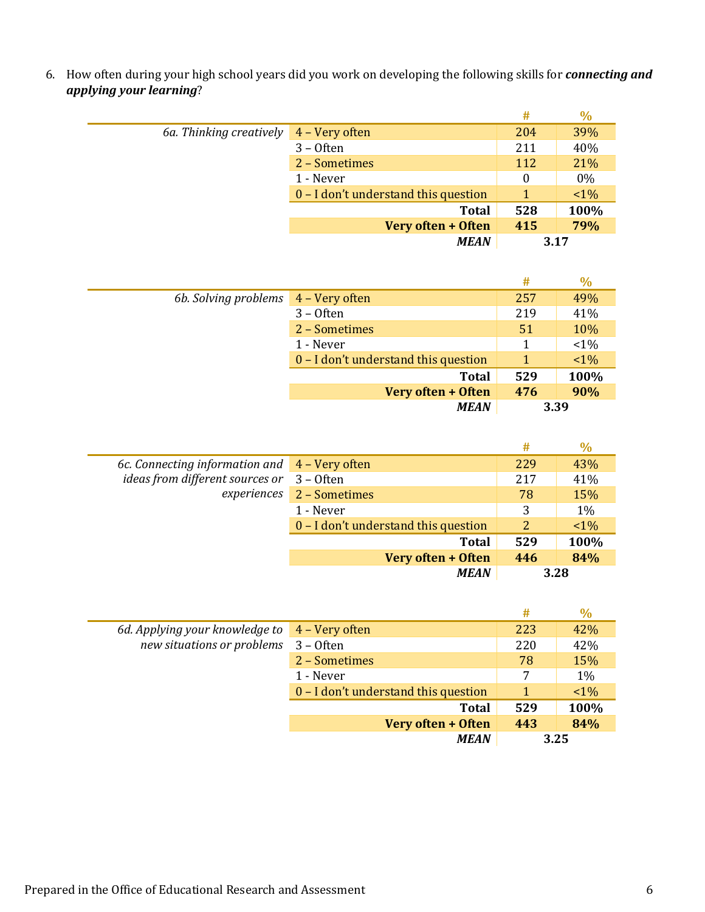6. How often during your high school years did you work on developing the following skills for *connecting and applying your learning*?

|                         |                                      | #        | $\%$  |
|-------------------------|--------------------------------------|----------|-------|
| 6a. Thinking creatively | 4 - Very often                       | 204      | 39%   |
|                         | $3 -$ Often                          | 211      | 40%   |
|                         | 2 - Sometimes                        | 112      | 21%   |
|                         | 1 - Never                            | $\theta$ | $0\%$ |
|                         | 0 – I don't understand this question |          | $1\%$ |
|                         | <b>Total</b>                         | 528      | 100%  |
|                         | Very often + Often                   | 415      | 79%   |
|                         | <b>MEAN</b>                          | 3.17     |       |

|                      |                                      | #   | $\frac{0}{0}$ |
|----------------------|--------------------------------------|-----|---------------|
| 6b. Solving problems | 4 - Very often                       | 257 | 49%           |
|                      | $3 -$ Often                          | 219 | 41%           |
|                      | 2 - Sometimes                        | 51  | 10%           |
|                      | 1 - Never                            | 1   | $< 1\%$       |
|                      | 0 – I don't understand this question | 1   | $1\%$         |
|                      | <b>Total</b>                         | 529 | 100%          |
|                      | Very often + Often                   | 476 | 90%           |
|                      | <b>MEAN</b>                          |     | 3.39          |

|                                                                   |                                      | #              | $\%$  |
|-------------------------------------------------------------------|--------------------------------------|----------------|-------|
| 6c. Connecting information and $\overline{4 - \text{Very often}}$ |                                      | 229            | 43%   |
| ideas from different sources or                                   | $3 -$ Often                          | 217            | 41%   |
| experiences                                                       | 2 - Sometimes                        | 78             | 15%   |
|                                                                   | 1 - Never                            | 3              | 1%    |
|                                                                   | 0 – I don't understand this question | $\overline{2}$ | $1\%$ |
|                                                                   | <b>Total</b>                         | 529            | 100%  |
|                                                                   | Very often + Often                   | 446            | 84%   |
|                                                                   | <b>MEAN</b>                          |                | 3.28  |

|                                |                                      | #    | $\frac{0}{0}$ |
|--------------------------------|--------------------------------------|------|---------------|
| 6d. Applying your knowledge to | 4 – Very often                       | 223  | 42%           |
| new situations or problems     | $3 -$ Often                          | 220  | 42%           |
|                                | 2 - Sometimes                        | 78   | 15%           |
|                                | 1 - Never                            | 7    | $1\%$         |
|                                | 0 – I don't understand this question | 1    | $1\%$         |
|                                | <b>Total</b>                         | 529  | 100%          |
|                                | Very often + Often                   | 443  | 84%           |
|                                | <b>MEAN</b>                          | 3.25 |               |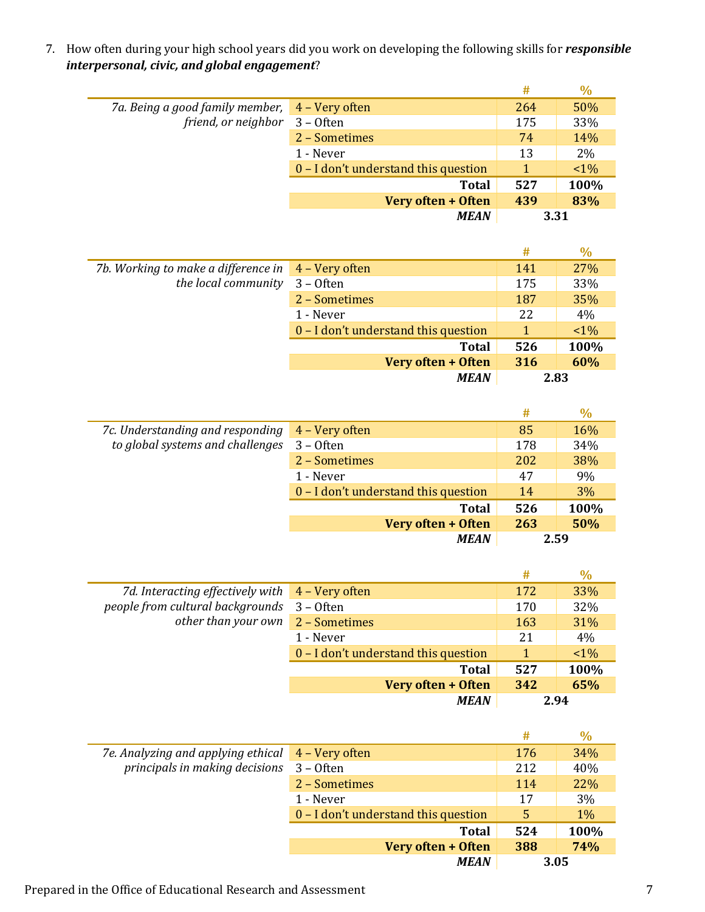7. How often during your high school years did you work on developing the following skills for *responsible interpersonal, civic, and global engagement*?

|                                                |                                      | #    | $\%$  |
|------------------------------------------------|--------------------------------------|------|-------|
| 7a. Being a good family member, 4 - Very often |                                      | 264  | 50%   |
| friend, or neighbor 3 - Often                  |                                      | 175  | 33%   |
|                                                | 2 - Sometimes                        | 74   | 14%   |
|                                                | 1 - Never                            | 13   | 2%    |
|                                                | 0 – I don't understand this question |      | $1\%$ |
|                                                | <b>Total</b>                         | 527  | 100%  |
|                                                | Very often + Often                   | 439  | 83%   |
|                                                | <b>MEAN</b>                          | 3.31 |       |

|                                     |                                      | #          | $\%$  |
|-------------------------------------|--------------------------------------|------------|-------|
| 7b. Working to make a difference in | 4 – Very often                       | 141        | 27%   |
| the local community                 | $3 -$ Often                          | 175        | 33%   |
|                                     | 2 - Sometimes                        | 187        | 35%   |
|                                     | 1 - Never                            | 22         | 4%    |
|                                     | 0 – I don't understand this question | 1          | $1\%$ |
|                                     | <b>Total</b>                         | 526        | 100%  |
|                                     | Very often + Often                   | <b>316</b> | 60%   |
|                                     | <b>MEAN</b>                          | 2.83       |       |

|                                  |                                      | #    | $\%$ |
|----------------------------------|--------------------------------------|------|------|
| 7c. Understanding and responding | 4 – Very often                       | 85   | 16%  |
| to global systems and challenges | $3 -$ Often                          | 178  | 34%  |
|                                  | 2 - Sometimes                        | 202  | 38%  |
|                                  | 1 - Never                            | 47   | 9%   |
|                                  | 0 – I don't understand this question | 14   | 3%   |
|                                  | <b>Total</b>                         | 526  | 100% |
|                                  | Very often + Often                   | 263  | 50%  |
|                                  | <b>MEAN</b>                          | 2.59 |      |

|                                                              |                                      | #   | $\%$  |
|--------------------------------------------------------------|--------------------------------------|-----|-------|
| 7d. Interacting effectively with $\overline{4}$ – Very often |                                      | 172 | 33%   |
| people from cultural backgrounds                             | $3 -$ Often                          | 170 | 32%   |
| other than your own                                          | 2 - Sometimes                        | 163 | 31%   |
|                                                              | 1 - Never                            | 21  | 4%    |
|                                                              | 0 – I don't understand this question |     | $1\%$ |
|                                                              | <b>Total</b>                         | 527 | 100%  |
|                                                              | Very often + Often                   | 342 | 65%   |
|                                                              | <b>MEAN</b>                          |     | 2.94  |

|                                    |                                        | #    | $\%$  |
|------------------------------------|----------------------------------------|------|-------|
| 7e. Analyzing and applying ethical | 4 – Very often                         | 176  | 34%   |
| principals in making decisions     | $3 -$ Often                            | 212  | 40%   |
|                                    | 2 - Sometimes                          | 114  | 22%   |
|                                    | 1 - Never                              | 17   | 3%    |
|                                    | $0 - I$ don't understand this question | 5    | $1\%$ |
|                                    | <b>Total</b>                           | 524  | 100%  |
|                                    | Very often + Often                     | 388  | 74%   |
|                                    | <b>MEAN</b>                            | 3.05 |       |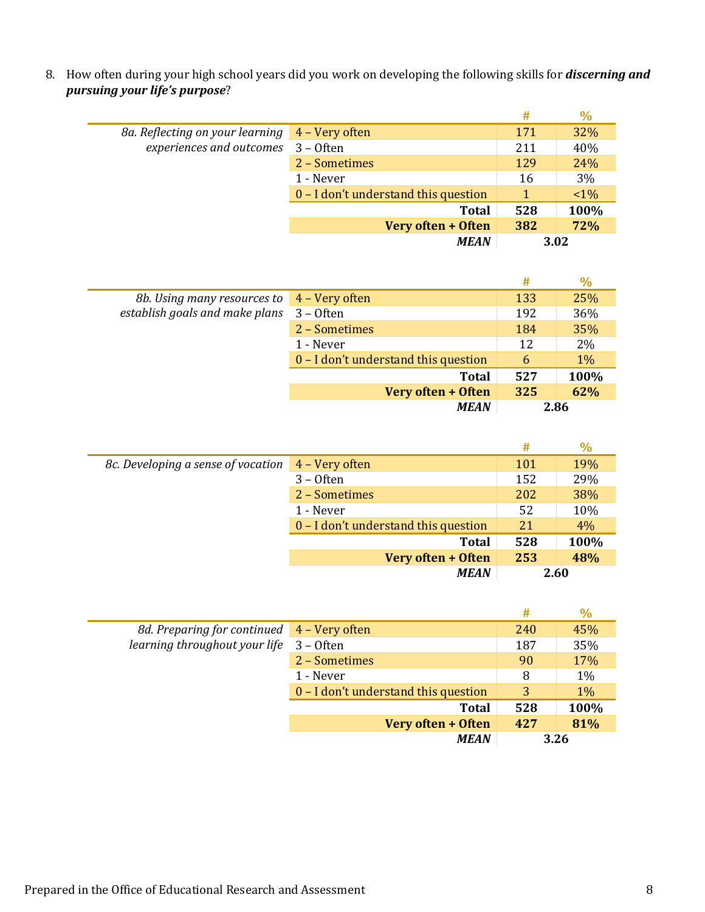8. How often during your high school years did you work on developing the following skills for *discerning and pursuing your life's purpose*?

|                                                                                      |                                      | #   | $\%$  |
|--------------------------------------------------------------------------------------|--------------------------------------|-----|-------|
| 8a. Reflecting on your learning 4 – Very often<br>experiences and outcomes 3 - Often |                                      | 171 | 32%   |
|                                                                                      |                                      | 211 | 40%   |
|                                                                                      | 2 - Sometimes                        | 129 | 24%   |
|                                                                                      | 1 - Never                            | 16  | 3%    |
|                                                                                      | 0 - I don't understand this question |     | $1\%$ |
|                                                                                      | <b>Total</b>                         | 528 | 100%  |
|                                                                                      | Very often + Often                   | 382 | 72%   |
|                                                                                      | <b>MEAN</b>                          |     | 3.02  |

|                                |                                      | #    | $\%$  |
|--------------------------------|--------------------------------------|------|-------|
| 8b. Using many resources to    | 4 - Very often                       | 133  | 25%   |
| establish goals and make plans | $3 -$ Often                          | 192  | 36%   |
|                                | 2 - Sometimes                        | 184  | 35%   |
|                                | 1 - Never                            | 12   | 2%    |
|                                | 0 – I don't understand this question | 6    | $1\%$ |
|                                | <b>Total</b>                         | 527  | 100%  |
|                                | Very often + Often                   | 325  | 62%   |
|                                | <b>MEAN</b>                          | 2.86 |       |

|                                    |                                        | #   | $\%$ |
|------------------------------------|----------------------------------------|-----|------|
| 8c. Developing a sense of vocation | 4 – Very often                         | 101 | 19%  |
|                                    | $3 -$ Often                            | 152 | 29%  |
|                                    | 2 - Sometimes                          | 202 | 38%  |
|                                    | 1 - Never                              | 52  | 10%  |
|                                    | $0 - I$ don't understand this question | 21  | 4%   |
|                                    | <b>Total</b>                           | 528 | 100% |
|                                    | Very often + Often                     | 253 | 48%  |
|                                    | <b>MEAN</b>                            |     | 2.60 |

|                                            |                                      | #    | $\%$  |
|--------------------------------------------|--------------------------------------|------|-------|
| 8d. Preparing for continued 4 – Very often |                                      | 240  | 45%   |
| learning throughout your life              | $3 -$ Often                          | 187  | 35%   |
|                                            | 2 - Sometimes                        | 90   | 17%   |
|                                            | 1 - Never                            | 8    | 1%    |
|                                            | 0 - I don't understand this question | 3    | $1\%$ |
|                                            | <b>Total</b>                         | 528  | 100%  |
|                                            | Very often + Often                   | 427  | 81%   |
|                                            | <b>MEAN</b>                          | 3.26 |       |

 $\equiv$